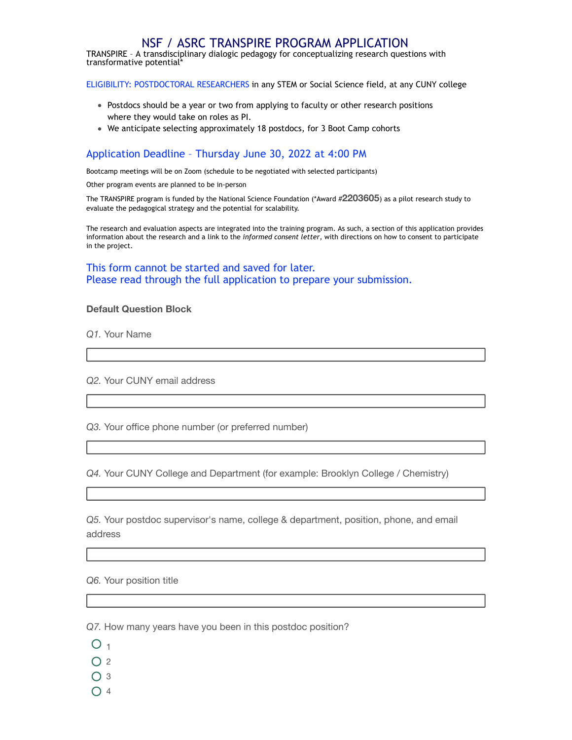## NSF / ASRC TRANSPIRE PROGRAM APPLICATION

TRANSPIRE – A transdisciplinary dialogic pedagogy for conceptualizing research questions with transformative potential\*

ELIGIBILITY: POSTDOCTORAL RESEARCHERS in any STEM or Social Science field, at any CUNY college

- Postdocs should be a year or two from applying to faculty or other research positions where they would take on roles as PI.
- We anticipate selecting approximately 18 postdocs, for 3 Boot Camp cohorts

## Application Deadline – Thursday June 30, 2022 at 4:00 PM

Bootcamp meetings will be on Zoom (schedule to be negotiated with selected participants)

Other program events are planned to be in-person

The TRANSPIRE program is funded by the National Science Foundation (\*Award #**2203605**) as a pilot research study to evaluate the pedagogical strategy and the potential for scalability.

The research and evaluation aspects are integrated into the training program. As such, a section of this application provides information about the research and a link to the *informed consent letter*, with directions on how to consent to participate in the project.

This form cannot be started and saved for later. Please read through the full application to prepare your submission.

## **Default Question Block**

*Q1.* Your Name

*Q2.* Your CUNY email address

*Q3.* Your office phone number (or preferred number)

*Q4.* Your CUNY College and Department (for example: Brooklyn College / Chemistry)

*Q5.* Your postdoc supervisor's name, college & department, position, phone, and email address

*Q6.* Your position title

*Q7.* How many years have you been in this postdoc position?

- $O<sub>1</sub>$
- $O<sub>2</sub>$
- $O<sub>3</sub>$
- $\bigcap$  4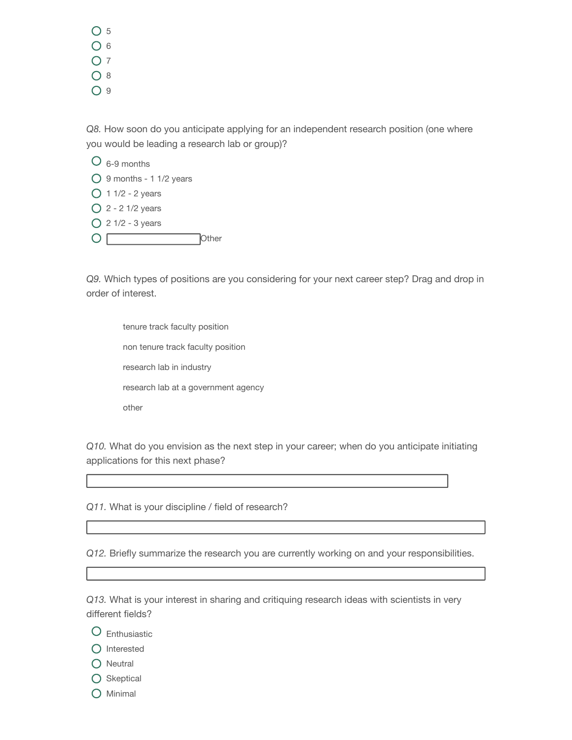$O<sub>5</sub>$  $O<sub>6</sub>$  $O<sub>7</sub>$ O 8  $O9$ 

*Q8.* How soon do you anticipate applying for an independent research position (one where you would be leading a research lab or group)?

 $\overline{O}$  6-9 months  $\bigcirc$  9 months - 1 1/2 years  $O$  1 1/2 - 2 years  $Q$  2 - 2 1/2 years  $Q$  2 1/2 - 3 years  $\overline{O}$ 

*Q9.* Which types of positions are you considering for your next career step? Drag and drop in order of interest.

tenure track faculty position non tenure track faculty position research lab in industry research lab at a government agency other

**Other** 

*Q10.* What do you envision as the next step in your career; when do you anticipate initiating applications for this next phase?

*Q11.* What is your discipline / field of research?

*Q12.* Briefly summarize the research you are currently working on and your responsibilities.

*Q13.* What is your interest in sharing and critiquing research ideas with scientists in very different fields?

- Enthusiastic
- $\bigcap$  Interested
- $O$  Neutral
- $O$  Skeptical
- O Minimal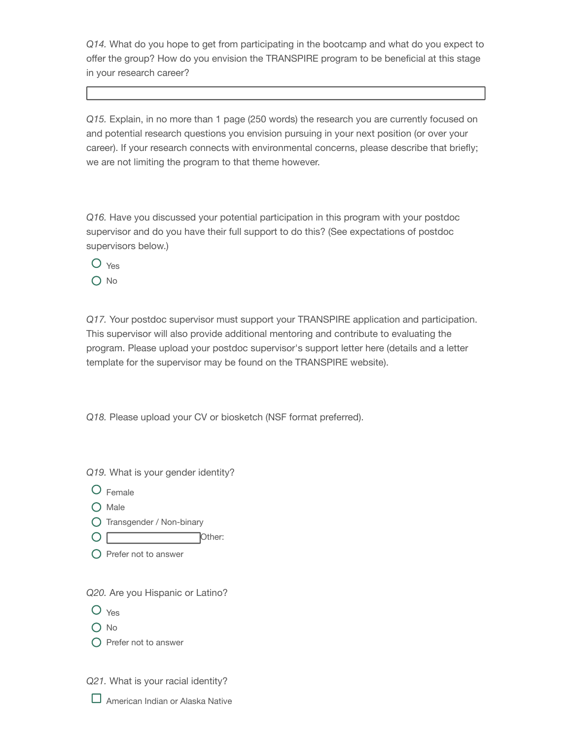*Q14.* What do you hope to get from participating in the bootcamp and what do you expect to offer the group? How do you envision the TRANSPIRE program to be beneficial at this stage in your research career?

*Q15.* Explain, in no more than 1 page (250 words) the research you are currently focused on and potential research questions you envision pursuing in your next position (or over your career). If your research connects with environmental concerns, please describe that briefly; we are not limiting the program to that theme however.

*Q16.* Have you discussed your potential participation in this program with your postdoc supervisor and do you have their full support to do this? (See expectations of postdoc supervisors below.)

O Yes  $\bigcap$  No

*Q17.* Your postdoc supervisor must support your TRANSPIRE application and participation. This supervisor will also provide additional mentoring and contribute to evaluating the program. Please upload your postdoc supervisor's support letter here (details and a letter template for the supervisor may be found on the TRANSPIRE website).

*Q18.* Please upload your CV or biosketch (NSF format preferred).

*Q19.* What is your gender identity?

- Female
- $O$  Male
- Transgender / Non-binary
- O Other:
- $\bigcirc$  Prefer not to answer

*Q20.* Are you Hispanic or Latino?

- O Yes
- O No
- $\bigcirc$  Prefer not to answer

*Q21.* What is your racial identity?